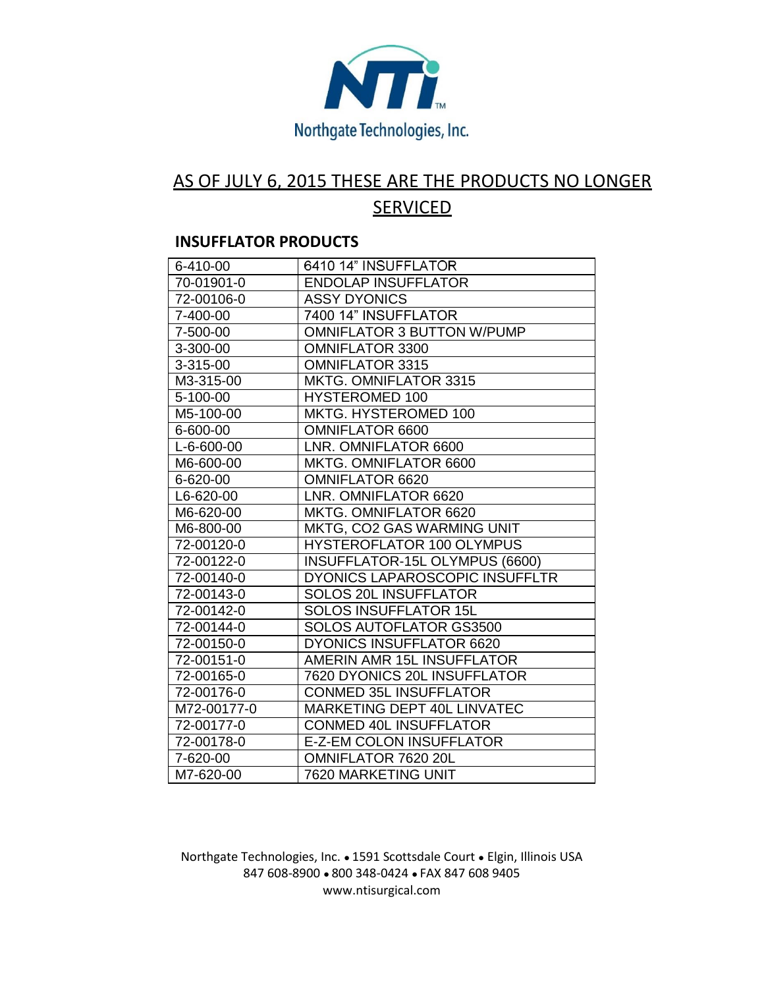

## AS OF JULY 6, 2015 THESE ARE THE PRODUCTS NO LONGER **SERVICED**

## **INSUFFLATOR PRODUCTS**

| 6-410-00    | 6410 14" INSUFFLATOR              |
|-------------|-----------------------------------|
| 70-01901-0  | <b>ENDOLAP INSUFFLATOR</b>        |
| 72-00106-0  | <b>ASSY DYONICS</b>               |
| 7-400-00    | 7400 14" INSUFFLATOR              |
| 7-500-00    | <b>OMNIFLATOR 3 BUTTON W/PUMP</b> |
| 3-300-00    | <b>OMNIFLATOR 3300</b>            |
| 3-315-00    | <b>OMNIFLATOR 3315</b>            |
| M3-315-00   | <b>MKTG. OMNIFLATOR 3315</b>      |
| 5-100-00    | <b>HYSTEROMED 100</b>             |
| M5-100-00   | MKTG. HYSTEROMED 100              |
| 6-600-00    | <b>OMNIFLATOR 6600</b>            |
| L-6-600-00  | LNR. OMNIFLATOR 6600              |
| M6-600-00   | MKTG. OMNIFLATOR 6600             |
| 6-620-00    | <b>OMNIFLATOR 6620</b>            |
| L6-620-00   | LNR. OMNIFLATOR 6620              |
| M6-620-00   | MKTG. OMNIFLATOR 6620             |
| M6-800-00   | MKTG, CO2 GAS WARMING UNIT        |
| 72-00120-0  | <b>HYSTEROFLATOR 100 OLYMPUS</b>  |
| 72-00122-0  | INSUFFLATOR-15L OLYMPUS (6600)    |
| 72-00140-0  | DYONICS LAPAROSCOPIC INSUFFLTR    |
| 72-00143-0  | <b>SOLOS 20L INSUFFLATOR</b>      |
| 72-00142-0  | <b>SOLOS INSUFFLATOR 15L</b>      |
| 72-00144-0  | <b>SOLOS AUTOFLATOR GS3500</b>    |
| 72-00150-0  | <b>DYONICS INSUFFLATOR 6620</b>   |
| 72-00151-0  | AMERIN AMR 15L INSUFFLATOR        |
| 72-00165-0  | 7620 DYONICS 20L INSUFFLATOR      |
| 72-00176-0  | <b>CONMED 35L INSUFFLATOR</b>     |
| M72-00177-0 | MARKETING DEPT 40L LINVATEC       |
| 72-00177-0  | <b>CONMED 40L INSUFFLATOR</b>     |
| 72-00178-0  | <b>E-Z-EM COLON INSUFFLATOR</b>   |
| 7-620-00    | OMNIFLATOR 7620 20L               |
| M7-620-00   | 7620 MARKETING UNIT               |

## Northgate Technologies, Inc. ● 1591 Scottsdale Court ● Elgin, Illinois USA 847 608-8900 ● 800 348-0424 ● FAX 847 608 9405 www.ntisurgical.com